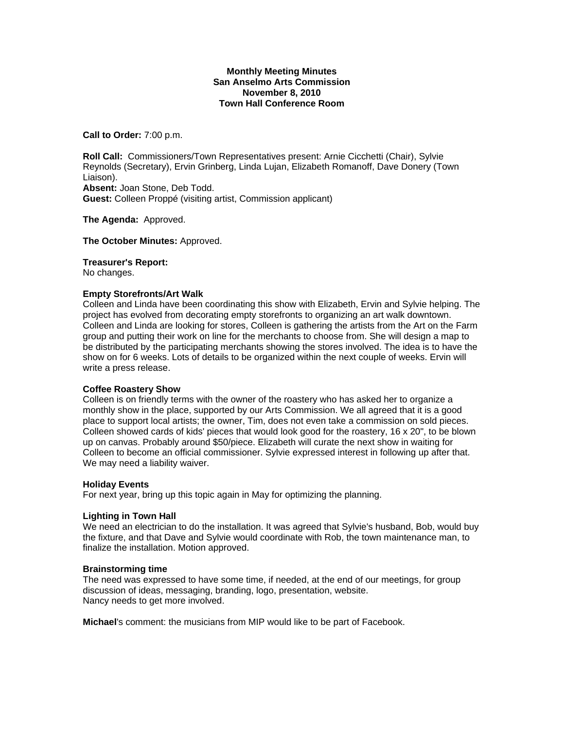## **Monthly Meeting Minutes San Anselmo Arts Commission November 8, 2010 Town Hall Conference Room**

**Call to Order:** 7:00 p.m.

**Roll Call:** Commissioners/Town Representatives present: Arnie Cicchetti (Chair), Sylvie Reynolds (Secretary), Ervin Grinberg, Linda Lujan, Elizabeth Romanoff, Dave Donery (Town Liaison). **Absent:** Joan Stone, Deb Todd. **Guest:** Colleen Proppé (visiting artist, Commission applicant)

**The Agenda:** Approved.

**The October Minutes:** Approved.

### **Treasurer's Report:**

No changes.

## **Empty Storefronts/Art Walk**

Colleen and Linda have been coordinating this show with Elizabeth, Ervin and Sylvie helping. The project has evolved from decorating empty storefronts to organizing an art walk downtown. Colleen and Linda are looking for stores, Colleen is gathering the artists from the Art on the Farm group and putting their work on line for the merchants to choose from. She will design a map to be distributed by the participating merchants showing the stores involved. The idea is to have the show on for 6 weeks. Lots of details to be organized within the next couple of weeks. Ervin will write a press release.

## **Coffee Roastery Show**

Colleen is on friendly terms with the owner of the roastery who has asked her to organize a monthly show in the place, supported by our Arts Commission. We all agreed that it is a good place to support local artists; the owner, Tim, does not even take a commission on sold pieces. Colleen showed cards of kids' pieces that would look good for the roastery, 16 x 20", to be blown up on canvas. Probably around \$50/piece. Elizabeth will curate the next show in waiting for Colleen to become an official commissioner. Sylvie expressed interest in following up after that. We may need a liability waiver.

#### **Holiday Events**

For next year, bring up this topic again in May for optimizing the planning.

#### **Lighting in Town Hall**

We need an electrician to do the installation. It was agreed that Sylvie's husband, Bob, would buy the fixture, and that Dave and Sylvie would coordinate with Rob, the town maintenance man, to finalize the installation. Motion approved.

#### **Brainstorming time**

The need was expressed to have some time, if needed, at the end of our meetings, for group discussion of ideas, messaging, branding, logo, presentation, website. Nancy needs to get more involved.

**Michael**'s comment: the musicians from MIP would like to be part of Facebook.